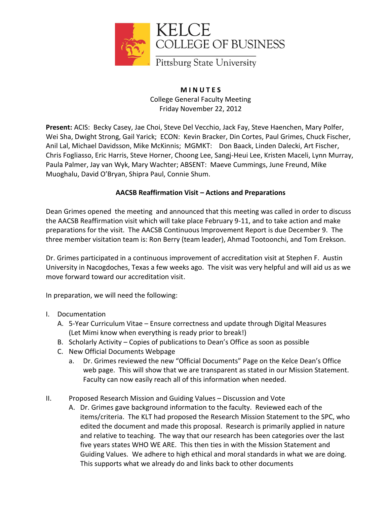

**M I N U T E S** College General Faculty Meeting Friday November 22, 2012

**Present:** ACIS: Becky Casey, Jae Choi, Steve Del Vecchio, Jack Fay, Steve Haenchen, Mary Polfer, Wei Sha, Dwight Strong, Gail Yarick; ECON: Kevin Bracker, Din Cortes, Paul Grimes, Chuck Fischer, Anil Lal, Michael Davidsson, Mike McKinnis; MGMKT: Don Baack, Linden Dalecki, Art Fischer, Chris Fogliasso, Eric Harris, Steve Horner, Choong Lee, Sangj-Heui Lee, Kristen Maceli, Lynn Murray, Paula Palmer, Jay van Wyk, Mary Wachter; ABSENT: Maeve Cummings, June Freund, Mike Muoghalu, David O'Bryan, Shipra Paul, Connie Shum.

## **AACSB Reaffirmation Visit – Actions and Preparations**

Dean Grimes opened the meeting and announced that this meeting was called in order to discuss the AACSB Reaffirmation visit which will take place February 9-11, and to take action and make preparations for the visit. The AACSB Continuous Improvement Report is due December 9. The three member visitation team is: Ron Berry (team leader), Ahmad Tootoonchi, and Tom Erekson.

Dr. Grimes participated in a continuous improvement of accreditation visit at Stephen F. Austin University in Nacogdoches, Texas a few weeks ago. The visit was very helpful and will aid us as we move forward toward our accreditation visit.

In preparation, we will need the following:

- I. Documentation
	- A. 5-Year Curriculum Vitae Ensure correctness and update through Digital Measures (Let Mimi know when everything is ready prior to break!)
	- B. Scholarly Activity Copies of publications to Dean's Office as soon as possible
	- C. New Official Documents Webpage
		- a. Dr. Grimes reviewed the new "Official Documents" Page on the Kelce Dean's Office web page. This will show that we are transparent as stated in our Mission Statement. Faculty can now easily reach all of this information when needed.
- II. Proposed Research Mission and Guiding Values Discussion and Vote
	- A. Dr. Grimes gave background information to the faculty. Reviewed each of the items/criteria. The KLT had proposed the Research Mission Statement to the SPC, who edited the document and made this proposal. Research is primarily applied in nature and relative to teaching. The way that our research has been categories over the last five years states WHO WE ARE. This then ties in with the Mission Statement and Guiding Values. We adhere to high ethical and moral standards in what we are doing. This supports what we already do and links back to other documents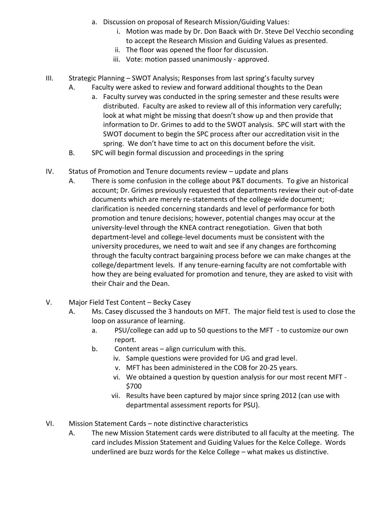- a. Discussion on proposal of Research Mission/Guiding Values:
	- i. Motion was made by Dr. Don Baack with Dr. Steve Del Vecchio seconding to accept the Research Mission and Guiding Values as presented.
	- ii. The floor was opened the floor for discussion.
	- iii. Vote: motion passed unanimously approved.
- III. Strategic Planning SWOT Analysis; Responses from last spring's faculty survey
	- A. Faculty were asked to review and forward additional thoughts to the Dean
		- a. Faculty survey was conducted in the spring semester and these results were distributed. Faculty are asked to review all of this information very carefully; look at what might be missing that doesn't show up and then provide that information to Dr. Grimes to add to the SWOT analysis. SPC will start with the SWOT document to begin the SPC process after our accreditation visit in the spring. We don't have time to act on this document before the visit.
	- B. SPC will begin formal discussion and proceedings in the spring
- IV. Status of Promotion and Tenure documents review update and plans
	- A. There is some confusion in the college about P&T documents. To give an historical account; Dr. Grimes previously requested that departments review their out-of-date documents which are merely re-statements of the college-wide document; clarification is needed concerning standards and level of performance for both promotion and tenure decisions; however, potential changes may occur at the university-level through the KNEA contract renegotiation. Given that both department-level and college-level documents must be consistent with the university procedures, we need to wait and see if any changes are forthcoming through the faculty contract bargaining process before we can make changes at the college/department levels. If any tenure-earning faculty are not comfortable with how they are being evaluated for promotion and tenure, they are asked to visit with their Chair and the Dean.
- V. Major Field Test Content Becky Casey
	- A. Ms. Casey discussed the 3 handouts on MFT. The major field test is used to close the loop on assurance of learning.
		- a. PSU/college can add up to 50 questions to the MFT to customize our own report.
		- b. Content areas align curriculum with this.
			- iv. Sample questions were provided for UG and grad level.
			- v. MFT has been administered in the COB for 20-25 years.
			- vi. We obtained a question by question analysis for our most recent MFT \$700
			- vii. Results have been captured by major since spring 2012 (can use with departmental assessment reports for PSU).
- VI. Mission Statement Cards note distinctive characteristics
	- A. The new Mission Statement cards were distributed to all faculty at the meeting. The card includes Mission Statement and Guiding Values for the Kelce College. Words underlined are buzz words for the Kelce College – what makes us distinctive.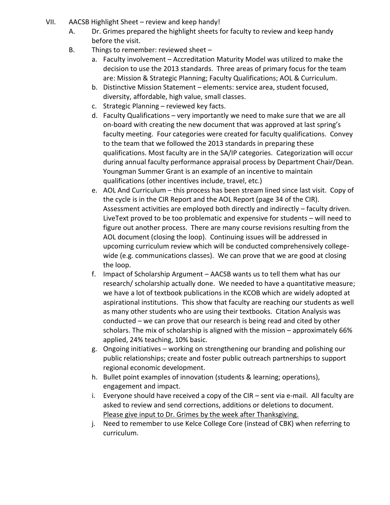- VII. AACSB Highlight Sheet review and keep handy!
	- A. Dr. Grimes prepared the highlight sheets for faculty to review and keep handy before the visit.
	- B. Things to remember: reviewed sheet
		- a. Faculty involvement Accreditation Maturity Model was utilized to make the decision to use the 2013 standards. Three areas of primary focus for the team are: Mission & Strategic Planning; Faculty Qualifications; AOL & Curriculum.
		- b. Distinctive Mission Statement elements: service area, student focused, diversity, affordable, high value, small classes.
		- c. Strategic Planning reviewed key facts.
		- d. Faculty Qualifications very importantly we need to make sure that we are all on-board with creating the new document that was approved at last spring's faculty meeting. Four categories were created for faculty qualifications. Convey to the team that we followed the 2013 standards in preparing these qualifications. Most faculty are in the SA/IP categories. Categorization will occur during annual faculty performance appraisal process by Department Chair/Dean. Youngman Summer Grant is an example of an incentive to maintain qualifications (other incentives include, travel, etc.)
		- e. AOL And Curriculum this process has been stream lined since last visit. Copy of the cycle is in the CIR Report and the AOL Report (page 34 of the CIR). Assessment activities are employed both directly and indirectly – faculty driven. LiveText proved to be too problematic and expensive for students – will need to figure out another process. There are many course revisions resulting from the AOL document (closing the loop). Continuing issues will be addressed in upcoming curriculum review which will be conducted comprehensively collegewide (e.g. communications classes). We can prove that we are good at closing the loop.
		- f. Impact of Scholarship Argument AACSB wants us to tell them what has our research/ scholarship actually done. We needed to have a quantitative measure; we have a lot of textbook publications in the KCOB which are widely adopted at aspirational institutions. This show that faculty are reaching our students as well as many other students who are using their textbooks. Citation Analysis was conducted – we can prove that our research is being read and cited by other scholars. The mix of scholarship is aligned with the mission – approximately 66% applied, 24% teaching, 10% basic.
		- g. Ongoing initiatives working on strengthening our branding and polishing our public relationships; create and foster public outreach partnerships to support regional economic development.
		- h. Bullet point examples of innovation (students & learning; operations), engagement and impact.
		- i. Everyone should have received a copy of the CIR sent via e-mail. All faculty are asked to review and send corrections, additions or deletions to document. Please give input to Dr. Grimes by the week after Thanksgiving.
		- j. Need to remember to use Kelce College Core (instead of CBK) when referring to curriculum.